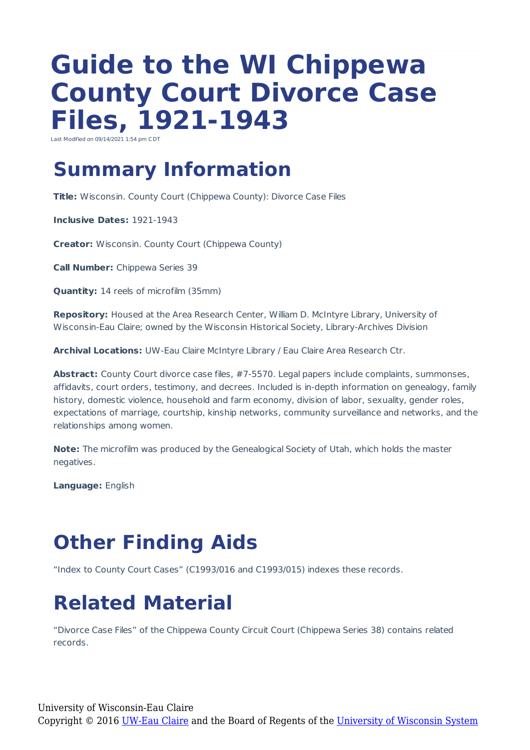# **Guide to the WI Chippewa County Court Divorce Case Files, 1921-1943**

Last Modified on 09/14/2021 1:54 pm C

#### **Summary Information**

**Title:** Wisconsin. County Court (Chippewa County): Divorce Case Files

**Inclusive Dates:** 1921-1943

**Creator:** Wisconsin. County Court (Chippewa County)

**Call Number:** Chippewa Series 39

**Quantity:** 14 reels of microfilm (35mm)

**Repository:** Housed at the Area Research Center, William D. McIntyre Library, University of Wisconsin-Eau Claire; owned by the Wisconsin Historical Society, Library-Archives Division

**Archival Locations:** UW-Eau Claire McIntyre Library / Eau Claire Area Research Ctr.

Abstract: County Court divorce case files, #7-5570. Legal papers include complaints, summonses, affidavits, court orders, testimony, and decrees. Included is in-depth information on genealogy, family history, domestic violence, household and farm economy, division of labor, sexuality, gender roles, expectations of marriage, courtship, kinship networks, community surveillance and networks, and the relationships among women.

**Note:** The microfilm was produced by the Genealogical Society of Utah, which holds the master negatives.

**Language:** English

### **Other Finding Aids**

"Index to County Court Cases" (C1993/016 and C1993/015) indexes these records.

#### **Related Material**

"Divorce Case Files" of the Chippewa County Circuit Court (Chippewa Series 38) contains related records.